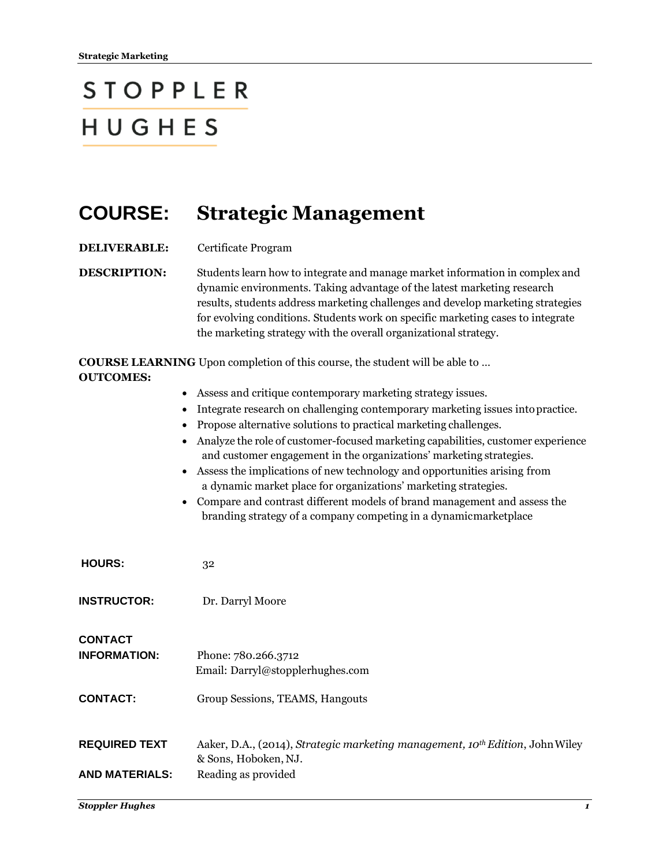## **STOPPLER** HUGHES

## **COURSE: Strategic Management**

**DELIVERABLE:** Certificate Program

**DESCRIPTION:** Students learn how to integrate and manage market information in complex and dynamic environments. Taking advantage of the latest marketing research results, students address marketing challenges and develop marketing strategies for evolving conditions. Students work on specific marketing cases to integrate the marketing strategy with the overall organizational strategy.

**COURSE LEARNING** Upon completion of this course, the student will be able to … **OUTCOMES:**

- Assess and critique contemporary marketing strategy issues.
- Integrate research on challenging contemporary marketing issues intopractice.
- Propose alternative solutions to practical marketing challenges.
- Analyze the role of customer-focused marketing capabilities, customer experience and customer engagement in the organizations' marketing strategies.
- Assess the implications of new technology and opportunities arising from a dynamic market place for organizations' marketing strategies.
- Compare and contrast different models of brand management and assess the branding strategy of a company competing in a dynamicmarketplace

| <b>HOURS:</b>                                            | 32                                                                                                                |
|----------------------------------------------------------|-------------------------------------------------------------------------------------------------------------------|
| <b>INSTRUCTOR:</b>                                       | Dr. Darryl Moore                                                                                                  |
| <b>CONTACT</b><br><b>INFORMATION:</b><br><b>CONTACT:</b> | Phone: 780.266.3712<br>Email: Darryl@stopplerhughes.com<br>Group Sessions, TEAMS, Hangouts                        |
| <b>REQUIRED TEXT</b>                                     | Aaker, D.A., (2014), Strategic marketing management, 10 <sup>th</sup> Edition, John Wiley<br>& Sons, Hoboken, NJ. |
| <b>AND MATERIALS:</b>                                    | Reading as provided                                                                                               |